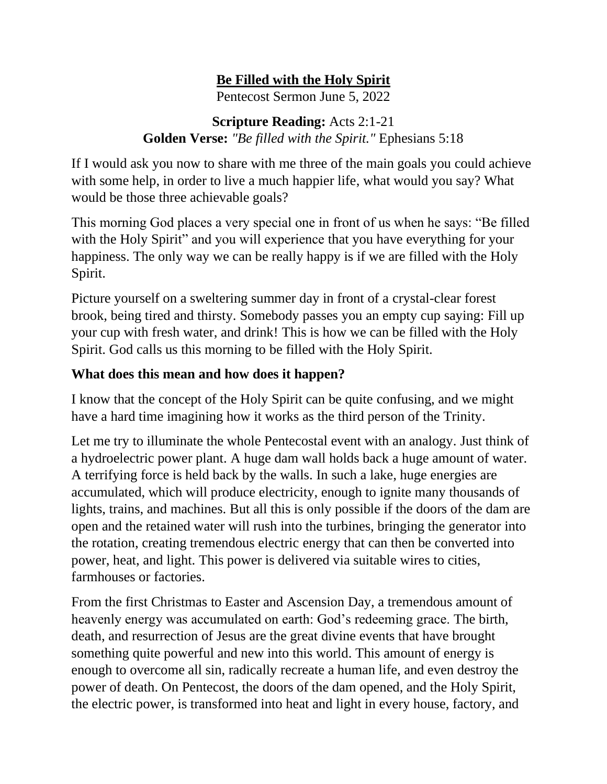## **Be Filled with the Holy Spirit**

Pentecost Sermon June 5, 2022

## **Scripture Reading:** Acts 2:1-21 **Golden Verse:** *"Be filled with the Spirit."* Ephesians 5:18

If I would ask you now to share with me three of the main goals you could achieve with some help, in order to live a much happier life, what would you say? What would be those three achievable goals?

This morning God places a very special one in front of us when he says: "Be filled with the Holy Spirit" and you will experience that you have everything for your happiness. The only way we can be really happy is if we are filled with the Holy Spirit.

Picture yourself on a sweltering summer day in front of a crystal-clear forest brook, being tired and thirsty. Somebody passes you an empty cup saying: Fill up your cup with fresh water, and drink! This is how we can be filled with the Holy Spirit. God calls us this morning to be filled with the Holy Spirit.

## **What does this mean and how does it happen?**

I know that the concept of the Holy Spirit can be quite confusing, and we might have a hard time imagining how it works as the third person of the Trinity.

Let me try to illuminate the whole Pentecostal event with an analogy. Just think of a hydroelectric power plant. A huge dam wall holds back a huge amount of water. A terrifying force is held back by the walls. In such a lake, huge energies are accumulated, which will produce electricity, enough to ignite many thousands of lights, trains, and machines. But all this is only possible if the doors of the dam are open and the retained water will rush into the turbines, bringing the generator into the rotation, creating tremendous electric energy that can then be converted into power, heat, and light. This power is delivered via suitable wires to cities, farmhouses or factories.

From the first Christmas to Easter and Ascension Day, a tremendous amount of heavenly energy was accumulated on earth: God's redeeming grace. The birth, death, and resurrection of Jesus are the great divine events that have brought something quite powerful and new into this world. This amount of energy is enough to overcome all sin, radically recreate a human life, and even destroy the power of death. On Pentecost, the doors of the dam opened, and the Holy Spirit, the electric power, is transformed into heat and light in every house, factory, and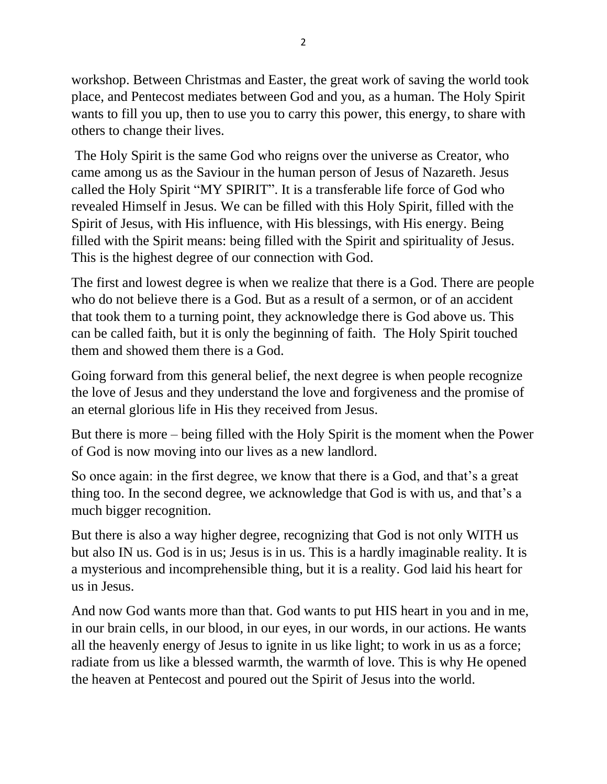workshop. Between Christmas and Easter, the great work of saving the world took place, and Pentecost mediates between God and you, as a human. The Holy Spirit wants to fill you up, then to use you to carry this power, this energy, to share with others to change their lives.

The Holy Spirit is the same God who reigns over the universe as Creator, who came among us as the Saviour in the human person of Jesus of Nazareth. Jesus called the Holy Spirit "MY SPIRIT". It is a transferable life force of God who revealed Himself in Jesus. We can be filled with this Holy Spirit, filled with the Spirit of Jesus, with His influence, with His blessings, with His energy. Being filled with the Spirit means: being filled with the Spirit and spirituality of Jesus. This is the highest degree of our connection with God.

The first and lowest degree is when we realize that there is a God. There are people who do not believe there is a God. But as a result of a sermon, or of an accident that took them to a turning point, they acknowledge there is God above us. This can be called faith, but it is only the beginning of faith. The Holy Spirit touched them and showed them there is a God.

Going forward from this general belief, the next degree is when people recognize the love of Jesus and they understand the love and forgiveness and the promise of an eternal glorious life in His they received from Jesus.

But there is more – being filled with the Holy Spirit is the moment when the Power of God is now moving into our lives as a new landlord.

So once again: in the first degree, we know that there is a God, and that's a great thing too. In the second degree, we acknowledge that God is with us, and that's a much bigger recognition.

But there is also a way higher degree, recognizing that God is not only WITH us but also IN us. God is in us; Jesus is in us. This is a hardly imaginable reality. It is a mysterious and incomprehensible thing, but it is a reality. God laid his heart for us in Jesus.

And now God wants more than that. God wants to put HIS heart in you and in me, in our brain cells, in our blood, in our eyes, in our words, in our actions. He wants all the heavenly energy of Jesus to ignite in us like light; to work in us as a force; radiate from us like a blessed warmth, the warmth of love. This is why He opened the heaven at Pentecost and poured out the Spirit of Jesus into the world.